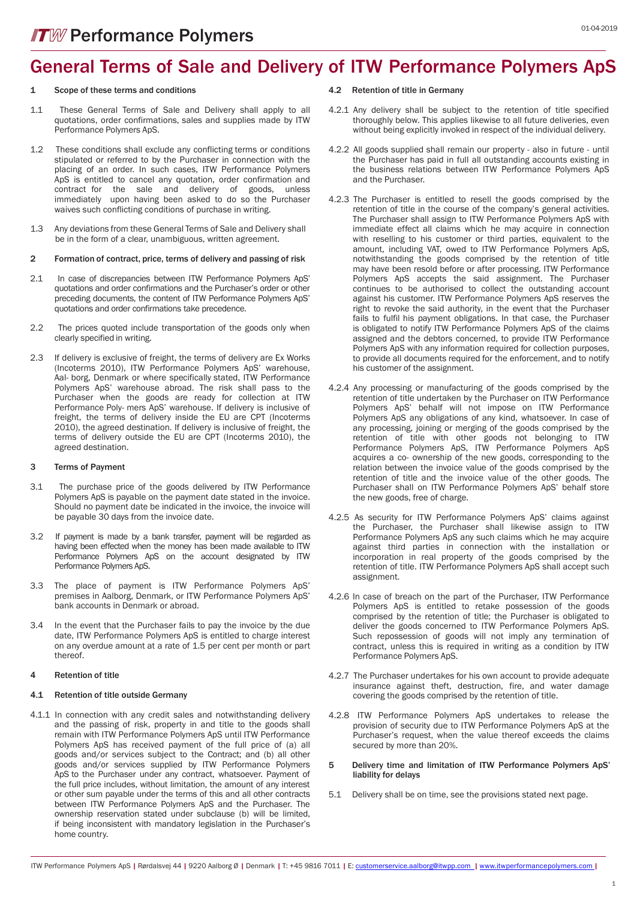## General Terms of Sale and Delivery of ITW Performance Polymers ApS

#### Scope of these terms and conditions

- 1.1 These General Terms of Sale and Delivery shall apply to all quotations, order confirmations, sales and supplies made by ITW Performance Polymers ApS.
- 1.2 These conditions shall exclude any conflicting terms or conditions stipulated or referred to by the Purchaser in connection with the placing of an order. In such cases, ITW Performance Polymers ApS is entitled to cancel any quotation, order confirmation and contract for the sale and delivery of goods, unless immediately upon having been asked to do so the Purchaser waives such conflicting conditions of purchase in writing.
- 1.3 Any deviations from these General Terms of Sale and Delivery shall be in the form of a clear, unambiguous, written agreement.

#### 2 Formation of contract, price, terms of delivery and passing of risk

- 2.1 In case of discrepancies between ITW Performance Polymers ApS' quotations and order confirmations and the Purchaser's order or other preceding documents, the content of ITW Performance Polymers ApS' quotations and order confirmations take precedence.
- 2.2 The prices quoted include transportation of the goods only when clearly specified in writing.
- 2.3 If delivery is exclusive of freight, the terms of delivery are Ex Works (Incoterms 2010), ITW Performance Polymers ApS' warehouse, Aal- borg, Denmark or where specifically stated, ITW Performance Polymers ApS' warehouse abroad. The risk shall pass to the Purchaser when the goods are ready for collection at ITW Performance Poly- mers ApS' warehouse. If delivery is inclusive of freight, the terms of delivery inside the EU are CPT (Incoterms 2010), the agreed destination. If delivery is inclusive of freight, the terms of delivery outside the EU are CPT (Incoterms 2010), the agreed destination.

#### 3 Terms of Payment

- 3.1 The purchase price of the goods delivered by ITW Performance Polymers ApS is payable on the payment date stated in the invoice. Should no payment date be indicated in the invoice, the invoice will be payable 30 days from the invoice date.
- 3.2 If payment is made by a bank transfer, payment will be regarded as having been effected when the money has been made available to ITW Performance Polymers ApS on the account designated by ITW Performance Polymers ApS.
- 3.3 The place of payment is ITW Performance Polymers ApS' premises in Aalborg, Denmark, or ITW Performance Polymers ApS' bank accounts in Denmark or abroad.
- 3.4 In the event that the Purchaser fails to pay the invoice by the due date, ITW Performance Polymers ApS is entitled to charge interest on any overdue amount at a rate of 1.5 per cent per month or part thereof.

#### 4 Retention of title

#### 4.1 Retention of title outside Germany

4.1.1 In connection with any credit sales and notwithstanding delivery and the passing of risk, property in and title to the goods shall remain with ITW Performance Polymers ApS until ITW Performance Polymers ApS has received payment of the full price of (a) all goods and/or services subject to the Contract; and (b) all other goods and/or services supplied by ITW Performance Polymers ApS to the Purchaser under any contract, whatsoever. Payment of the full price includes, without limitation, the amount of any interest or other sum payable under the terms of this and all other contracts between ITW Performance Polymers ApS and the Purchaser. The ownership reservation stated under subclause (b) will be limited, if being inconsistent with mandatory legislation in the Purchaser's home country.

#### 4.2 Retention of title in Germany

- 4.2.1 Any delivery shall be subject to the retention of title specified thoroughly below. This applies likewise to all future deliveries, even without being explicitly invoked in respect of the individual delivery.
- 4.2.2 All goods supplied shall remain our property also in future until the Purchaser has paid in full all outstanding accounts existing in the business relations between ITW Performance Polymers ApS and the Purchaser.
- 4.2.3 The Purchaser is entitled to resell the goods comprised by the retention of title in the course of the company's general activities. The Purchaser shall assign to ITW Performance Polymers ApS with immediate effect all claims which he may acquire in connection with reselling to his customer or third parties, equivalent to the amount, including VAT, owed to ITW Performance Polymers ApS, notwithstanding the goods comprised by the retention of title may have been resold before or after processing. ITW Performance Polymers ApS accepts the said assignment. The Purchaser continues to be authorised to collect the outstanding account against his customer. ITW Performance Polymers ApS reserves the right to revoke the said authority, in the event that the Purchaser fails to fulfil his payment obligations. In that case, the Purchaser is obligated to notify ITW Performance Polymers ApS of the claims assigned and the debtors concerned, to provide ITW Performance Polymers ApS with any information required for collection purposes, to provide all documents required for the enforcement, and to notify his customer of the assignment.
- 4.2.4 Any processing or manufacturing of the goods comprised by the retention of title undertaken by the Purchaser on ITW Performance Polymers ApS' behalf will not impose on ITW Performance Polymers ApS any obligations of any kind, whatsoever. In case of any processing, joining or merging of the goods comprised by the retention of title with other goods not belonging to ITW Performance Polymers ApS, ITW Performance Polymers ApS acquires a co- ownership of the new goods, corresponding to the relation between the invoice value of the goods comprised by the retention of title and the invoice value of the other goods. The Purchaser shall on ITW Performance Polymers ApS' behalf store the new goods, free of charge.
- 4.2.5 As security for ITW Performance Polymers ApS' claims against the Purchaser, the Purchaser shall likewise assign to ITW Performance Polymers ApS any such claims which he may acquire against third parties in connection with the installation or incorporation in real property of the goods comprised by the retention of title. ITW Performance Polymers ApS shall accept such assignment.
- 4.2.6 In case of breach on the part of the Purchaser, ITW Performance Polymers ApS is entitled to retake possession of the goods comprised by the retention of title; the Purchaser is obligated to deliver the goods concerned to ITW Performance Polymers ApS. Such repossession of goods will not imply any termination of contract, unless this is required in writing as a condition by ITW Performance Polymers ApS.
- 4.2.7 The Purchaser undertakes for his own account to provide adequate insurance against theft, destruction, fire, and water damage covering the goods comprised by the retention of title.
- 4.2.8 ITW Performance Polymers ApS undertakes to release the provision of security due to ITW Performance Polymers ApS at the Purchaser's request, when the value thereof exceeds the claims secured by more than 20%.
- 5 Delivery time and limitation of ITW Performance Polymers ApS' liability for delays
- 5.1 Delivery shall be on time, see the provisions stated next page.